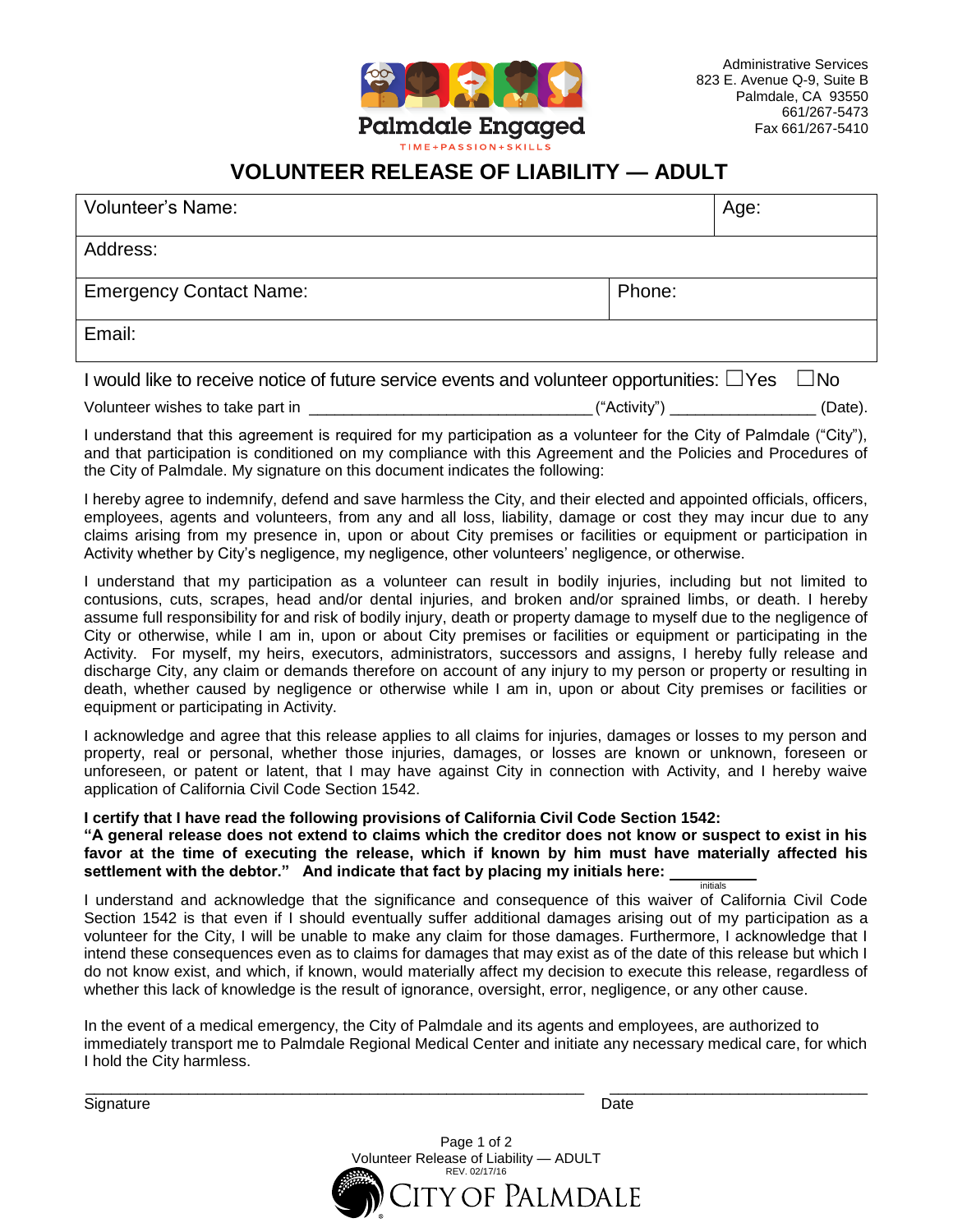

Administrative Services 823 E. Avenue Q-9, Suite B Palmdale, CA 93550 661/267-5473 Fax 661/267-5410

## **VOLUNTEER RELEASE OF LIABILITY — ADULT**

| Volunteer's Name:                                                                               |        | Age:    |              |
|-------------------------------------------------------------------------------------------------|--------|---------|--------------|
| Address:                                                                                        |        |         |              |
| <b>Emergency Contact Name:</b>                                                                  | Phone: |         |              |
| Email:                                                                                          |        |         |              |
| I would like to receive notice of future service events and volunteer opportunities: $\Box$ Yes |        |         | $\square$ No |
| Volunteer wishes to take part in _                                                              |        | (Date). |              |

I understand that this agreement is required for my participation as a volunteer for the City of Palmdale ("City"), and that participation is conditioned on my compliance with this Agreement and the Policies and Procedures of the City of Palmdale. My signature on this document indicates the following:

I hereby agree to indemnify, defend and save harmless the City, and their elected and appointed officials, officers, employees, agents and volunteers, from any and all loss, liability, damage or cost they may incur due to any claims arising from my presence in, upon or about City premises or facilities or equipment or participation in Activity whether by City's negligence, my negligence, other volunteers' negligence, or otherwise.

I understand that my participation as a volunteer can result in bodily injuries, including but not limited to contusions, cuts, scrapes, head and/or dental injuries, and broken and/or sprained limbs, or death. I hereby assume full responsibility for and risk of bodily injury, death or property damage to myself due to the negligence of City or otherwise, while I am in, upon or about City premises or facilities or equipment or participating in the Activity. For myself, my heirs, executors, administrators, successors and assigns, I hereby fully release and discharge City, any claim or demands therefore on account of any injury to my person or property or resulting in death, whether caused by negligence or otherwise while I am in, upon or about City premises or facilities or equipment or participating in Activity.

I acknowledge and agree that this release applies to all claims for injuries, damages or losses to my person and property, real or personal, whether those injuries, damages, or losses are known or unknown, foreseen or unforeseen, or patent or latent, that I may have against City in connection with Activity, and I hereby waive application of California Civil Code Section 1542.

**I certify that I have read the following provisions of California Civil Code Section 1542:**

**"A general release does not extend to claims which the creditor does not know or suspect to exist in his favor at the time of executing the release, which if known by him must have materially affected his settlement with the debtor." And indicate that fact by placing my initials here:**  initials

I understand and acknowledge that the significance and consequence of this waiver of California Civil Code Section 1542 is that even if I should eventually suffer additional damages arising out of my participation as a volunteer for the City, I will be unable to make any claim for those damages. Furthermore, I acknowledge that I intend these consequences even as to claims for damages that may exist as of the date of this release but which I do not know exist, and which, if known, would materially affect my decision to execute this release, regardless of whether this lack of knowledge is the result of ignorance, oversight, error, negligence, or any other cause.

In the event of a medical emergency, the City of Palmdale and its agents and employees, are authorized to immediately transport me to Palmdale Regional Medical Center and initiate any necessary medical care, for which I hold the City harmless.

\_\_\_\_\_\_\_\_\_\_\_\_\_\_\_\_\_\_\_\_\_\_\_\_\_\_\_\_\_\_\_\_\_\_\_\_\_\_\_\_\_\_\_\_\_\_\_\_\_\_\_\_\_\_\_\_\_\_ \_\_\_\_\_\_\_\_\_\_\_\_\_\_\_\_\_\_\_\_\_\_\_\_\_\_\_\_\_\_ Signature Date Date of the Contract of the Contract of the Contract of the Date Date

Page 1 of 2 Volunteer Release of Liability — ADULT REV. 02/17/16 y of Palmdale